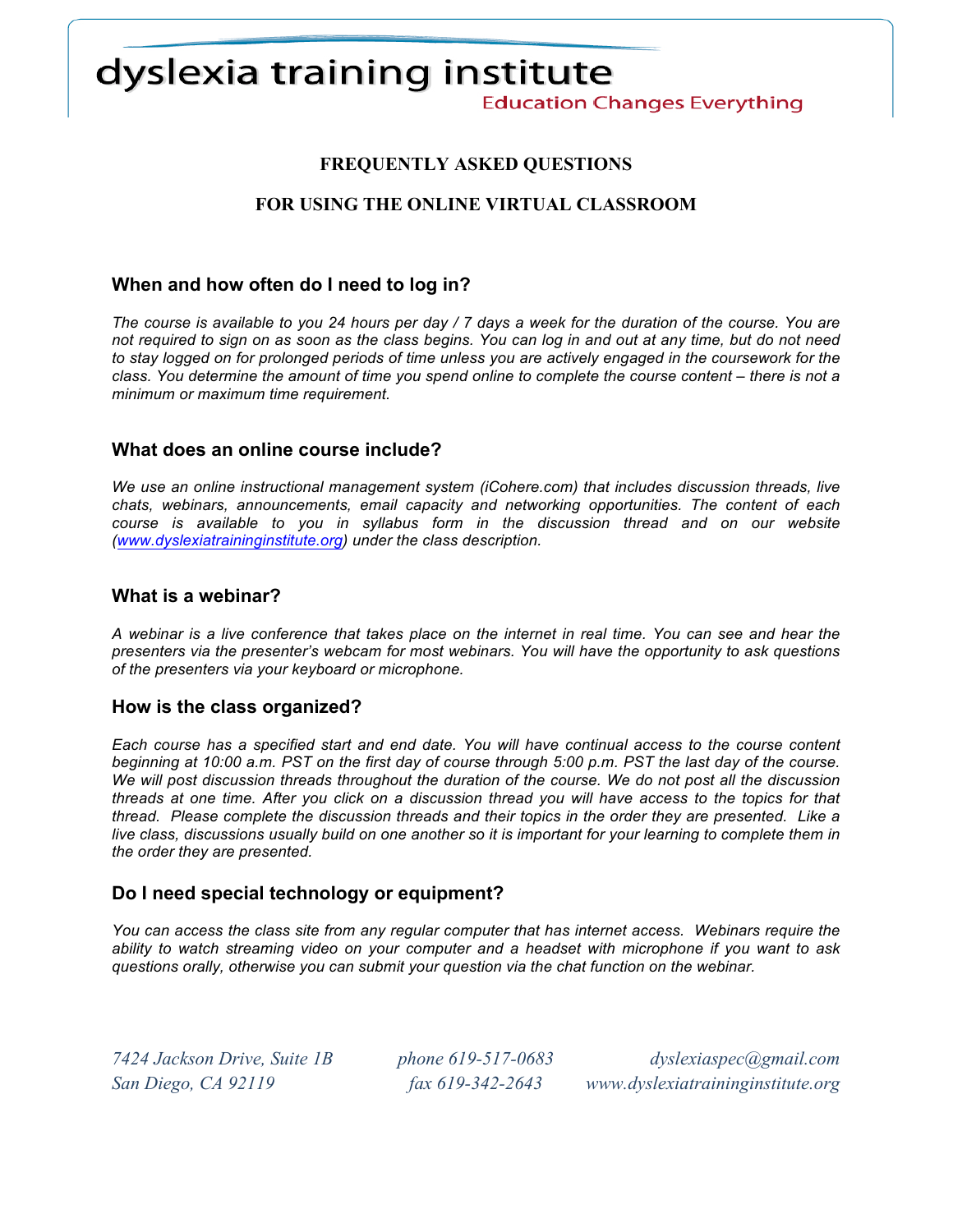# dyslexia training institute

**Education Changes Everything** 

# **FREQUENTLY ASKED QUESTIONS**

# **FOR USING THE ONLINE VIRTUAL CLASSROOM**

## **When and how often do I need to log in?**

*The course is available to you 24 hours per day / 7 days a week for the duration of the course. You are not required to sign on as soon as the class begins. You can log in and out at any time, but do not need to stay logged on for prolonged periods of time unless you are actively engaged in the coursework for the class. You determine the amount of time you spend online to complete the course content – there is not a minimum or maximum time requirement.*

## **What does an online course include?**

*We use an online instructional management system (iCohere.com) that includes discussion threads, live chats, webinars, announcements, email capacity and networking opportunities. The content of each course is available to you in syllabus form in the discussion thread and on our website (www.dyslexiatraininginstitute.org) under the class description.*

#### **What is a webinar?**

*A webinar is a live conference that takes place on the internet in real time. You can see and hear the presenters via the presenter's webcam for most webinars. You will have the opportunity to ask questions of the presenters via your keyboard or microphone.*

#### **How is the class organized?**

*Each course has a specified start and end date. You will have continual access to the course content beginning at 10:00 a.m. PST on the first day of course through 5:00 p.m. PST the last day of the course. We will post discussion threads throughout the duration of the course. We do not post all the discussion threads at one time. After you click on a discussion thread you will have access to the topics for that thread. Please complete the discussion threads and their topics in the order they are presented. Like a live class, discussions usually build on one another so it is important for your learning to complete them in the order they are presented.*

## **Do I need special technology or equipment?**

*You can access the class site from any regular computer that has internet access. Webinars require the ability to watch streaming video on your computer and a headset with microphone if you want to ask questions orally, otherwise you can submit your question via the chat function on the webinar.* 

*7424 Jackson Drive, Suite 1B phone 619-517-0683 dyslexiaspec@gmail.com San Diego, CA 92119 fax 619-342-2643 www.dyslexiatraininginstitute.org*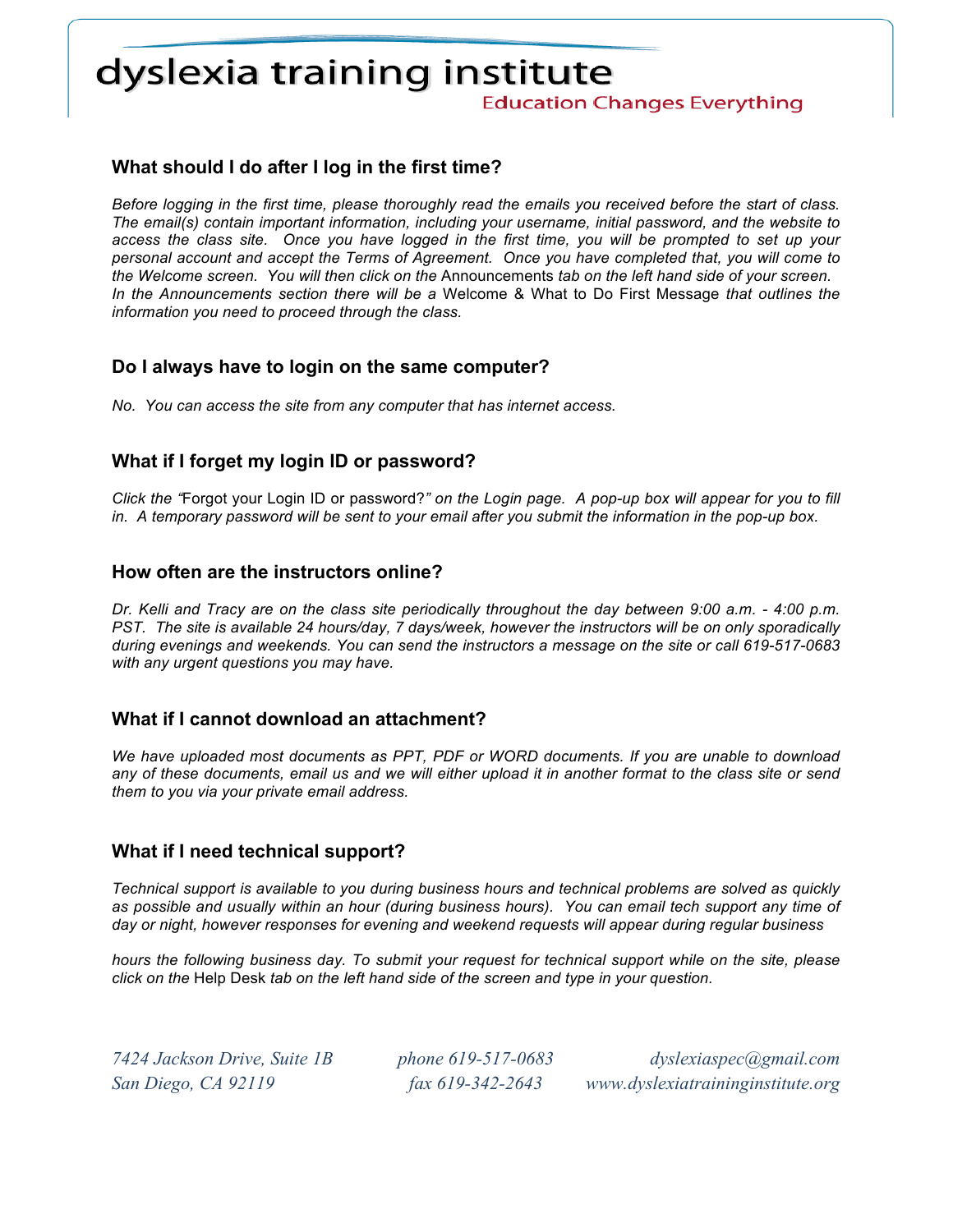# dyslexia training institute

**Education Changes Everything** 

# **What should I do after I log in the first time?**

*Before logging in the first time, please thoroughly read the emails you received before the start of class. The email(s) contain important information, including your username, initial password, and the website to access the class site. Once you have logged in the first time, you will be prompted to set up your personal account and accept the Terms of Agreement. Once you have completed that, you will come to the Welcome screen. You will then click on the* Announcements *tab on the left hand side of your screen. In the Announcements section there will be a* Welcome & What to Do First Message *that outlines the information you need to proceed through the class.*

## **Do I always have to login on the same computer?**

*No. You can access the site from any computer that has internet access.* 

# **What if I forget my login ID or password?**

*Click the "*Forgot your Login ID or password?*" on the Login page. A pop-up box will appear for you to fill in. A temporary password will be sent to your email after you submit the information in the pop-up box.* 

## **How often are the instructors online?**

*Dr. Kelli and Tracy are on the class site periodically throughout the day between 9:00 a.m. - 4:00 p.m. PST. The site is available 24 hours/day, 7 days/week, however the instructors will be on only sporadically during evenings and weekends. You can send the instructors a message on the site or call 619-517-0683 with any urgent questions you may have.*

## **What if I cannot download an attachment?**

*We have uploaded most documents as PPT, PDF or WORD documents. If you are unable to download any of these documents, email us and we will either upload it in another format to the class site or send them to you via your private email address.*

## **What if I need technical support?**

*Technical support is available to you during business hours and technical problems are solved as quickly as possible and usually within an hour (during business hours). You can email tech support any time of day or night, however responses for evening and weekend requests will appear during regular business* 

*hours the following business day. To submit your request for technical support while on the site, please click on the* Help Desk *tab on the left hand side of the screen and type in your question.* 

*7424 Jackson Drive, Suite 1B phone 619-517-0683 dyslexiaspec@gmail.com San Diego, CA 92119 fax 619-342-2643 www.dyslexiatraininginstitute.org*